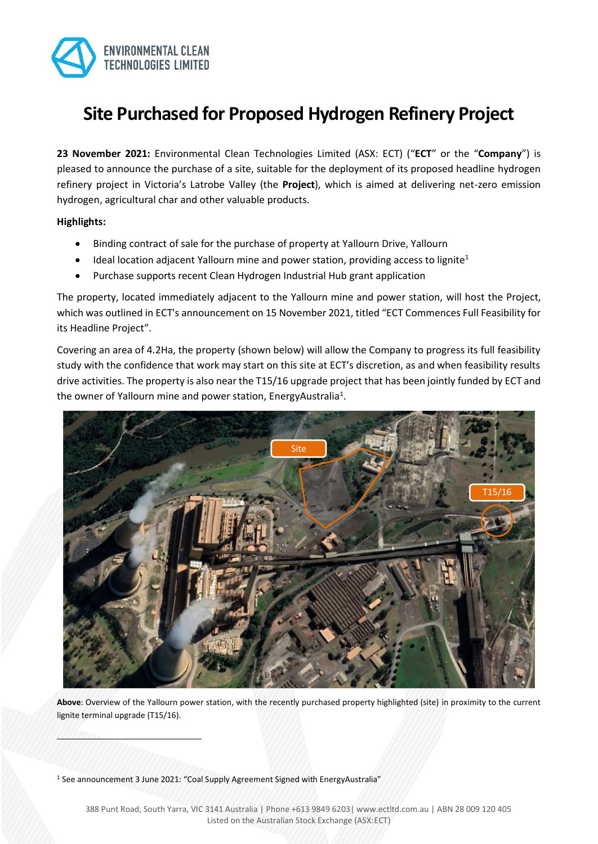

# **Site Purchased for Proposed Hydrogen Refinery Project**

**23 November 2021:** Environmental Clean Technologies Limited (ASX: ECT) ("**ECT**" or the "**Company**") is pleased to announce the purchase of a site, suitable for the deployment of its proposed headline hydrogen refinery project in Victoria's Latrobe Valley (the **Project**), which is aimed at delivering net-zero emission hydrogen, agricultural char and other valuable products.

## **Highlights:**

- Binding contract of sale for the purchase of property at Yallourn Drive, Yallourn
- Ideal location adjacent Yallourn mine and power station, providing access to lignite<sup>1</sup>
- Purchase supports recent Clean Hydrogen Industrial Hub grant application

The property, located immediately adjacent to the Yallourn mine and power station, will host the Project, which was outlined in ECT's announcement on 15 November 2021, titled "ECT Commences Full Feasibility for its Headline Project".

Covering an area of 4.2Ha, the property (shown below) will allow the Company to progress its full feasibility study with the confidence that work may start on this site at ECT's discretion, as and when feasibility results drive activities. The property is also near the T15/16 upgrade project that has been jointly funded by ECT and the owner of Yallourn mine and power station, EnergyAustralia<sup>1</sup>.



**Above**: Overview of the Yallourn power station, with the recently purchased property highlighted (site) in proximity to the current lignite terminal upgrade (T15/16).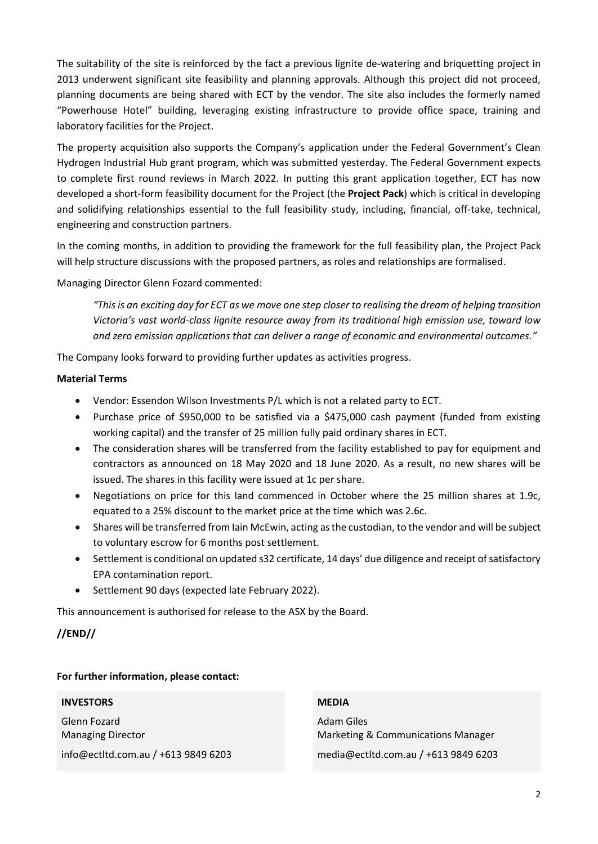The suitability of the site is reinforced by the fact a previous lignite de-watering and briquetting project in 2013 underwent significant site feasibility and planning approvals. Although this project did not proceed, planning documents are being shared with ECT by the vendor. The site also includes the formerly named "Powerhouse Hotel" building, leveraging existing infrastructure to provide office space, training and laboratory facilities for the Project.

The property acquisition also supports the Company's application under the Federal Government's Clean Hydrogen Industrial Hub grant program, which was submitted yesterday. The Federal Government expects to complete first round reviews in March 2022. In putting this grant application together, ECT has now developed a short-form feasibility document for the Project (the **Project Pack**) which is critical in developing and solidifying relationships essential to the full feasibility study, including, financial, off-take, technical, engineering and construction partners.

In the coming months, in addition to providing the framework for the full feasibility plan, the Project Pack will help structure discussions with the proposed partners, as roles and relationships are formalised.

Managing Director Glenn Fozard commented:

*"This is an exciting day for ECT as we move one step closer to realising the dream of helping transition Victoria's vast world-class lignite resource away from its traditional high emission use, toward low and zero emission applications that can deliver a range of economic and environmental outcomes."*

The Company looks forward to providing further updates as activities progress.

## **Material Terms**

- Vendor: Essendon Wilson Investments P/L which is not a related party to ECT.
- Purchase price of \$950,000 to be satisfied via a \$475,000 cash payment (funded from existing working capital) and the transfer of 25 million fully paid ordinary shares in ECT.
- The consideration shares will be transferred from the facility established to pay for equipment and contractors as announced on 18 May 2020 and 18 June 2020. As a result, no new shares will be issued. The shares in this facility were issued at 1c per share.
- Negotiations on price for this land commenced in October where the 25 million shares at 1.9c, equated to a 25% discount to the market price at the time which was 2.6c.
- Shares will be transferred from Iain McEwin, acting as the custodian, to the vendor and will be subject to voluntary escrow for 6 months post settlement.
- Settlement is conditional on updated s32 certificate, 14 days' due diligence and receipt of satisfactory EPA contamination report.
- Settlement 90 days (expected late February 2022).

This announcement is authorised for release to the ASX by the Board.

## **//END//**

## **For further information, please contact:**

## **INVESTORS**

Glenn Fozard Managing Director

info@ectltd.com.au / +613 9849 6203

### **MEDIA**

Adam Giles Marketing & Communications Manager media@ectltd.com.au / +613 9849 6203